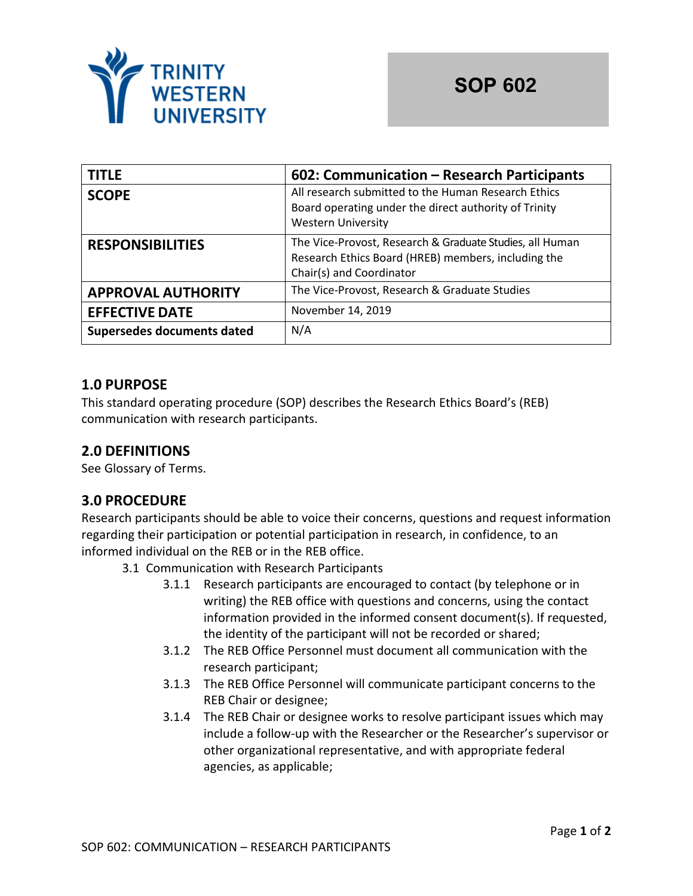

| <b>TITLE</b>               | 602: Communication - Research Participants                                                                                                  |
|----------------------------|---------------------------------------------------------------------------------------------------------------------------------------------|
| <b>SCOPE</b>               | All research submitted to the Human Research Ethics<br>Board operating under the direct authority of Trinity<br><b>Western University</b>   |
| <b>RESPONSIBILITIES</b>    | The Vice-Provost, Research & Graduate Studies, all Human<br>Research Ethics Board (HREB) members, including the<br>Chair(s) and Coordinator |
| <b>APPROVAL AUTHORITY</b>  | The Vice-Provost, Research & Graduate Studies                                                                                               |
| <b>EFFECTIVE DATE</b>      | November 14, 2019                                                                                                                           |
| Supersedes documents dated | N/A                                                                                                                                         |

### **1.0 PURPOSE**

This standard operating procedure (SOP) describes the Research Ethics Board's (REB) communication with research participants.

# **2.0 DEFINITIONS**

See Glossary of Terms.

# **3.0 PROCEDURE**

Research participants should be able to voice their concerns, questions and request information regarding their participation or potential participation in research, in confidence, to an informed individual on the REB or in the REB office.

- 3.1 Communication with Research Participants
	- 3.1.1 Research participants are encouraged to contact (by telephone or in writing) the REB office with questions and concerns, using the contact information provided in the informed consent document(s). If requested, the identity of the participant will not be recorded or shared;
	- 3.1.2 The REB Office Personnel must document all communication with the research participant;
	- 3.1.3 The REB Office Personnel will communicate participant concerns to the REB Chair or designee;
	- 3.1.4 The REB Chair or designee works to resolve participant issues which may include a follow-up with the Researcher or the Researcher's supervisor or other organizational representative, and with appropriate federal agencies, as applicable;